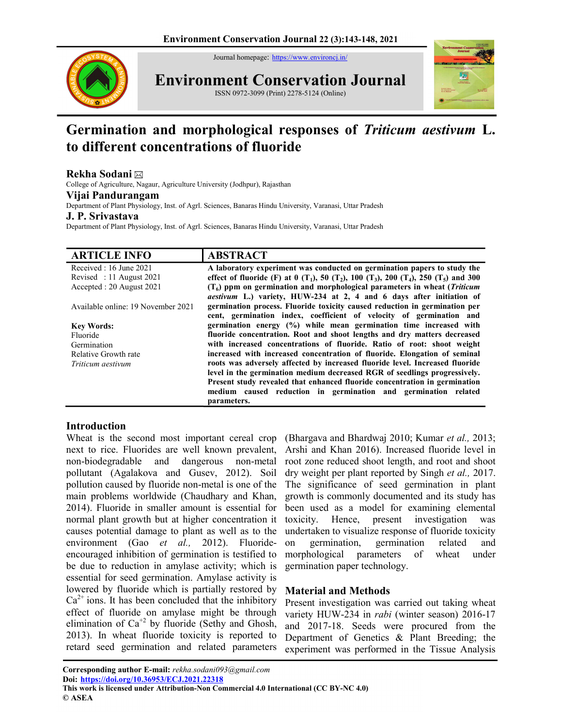Journal homepage: https://www.environcj.in/



Environment Conservation Journal ISSN 0972-3099 (Print) 2278-5124 (Online)



# Germination and morphological responses of Triticum aestivum L. to different concentrations of fluoride

## Rekha Sodani

College of Agriculture, Nagaur, Agriculture University (Jodhpur), Rajasthan

## Vijai Pandurangam

Department of Plant Physiology, Inst. of Agrl. Sciences, Banaras Hindu University, Varanasi, Uttar Pradesh

#### J. P. Srivastava

Department of Plant Physiology, Inst. of Agrl. Sciences, Banaras Hindu University, Varanasi, Uttar Pradesh

| <b>ARTICLE INFO</b>                | <b>ABSTRACT</b>                                                                                                                                  |
|------------------------------------|--------------------------------------------------------------------------------------------------------------------------------------------------|
| Received : 16 June 2021            | A laboratory experiment was conducted on germination papers to study the                                                                         |
| Revised: 11 August 2021            | effect of fluoride (F) at 0 (T <sub>1</sub> ), 50 (T <sub>2</sub> ), 100 (T <sub>3</sub> ), 200 (T <sub>4</sub> ), 250 (T <sub>5</sub> ) and 300 |
| Accepted: 20 August 2021           | $(T6)$ ppm on germination and morphological parameters in wheat ( <i>Triticum</i>                                                                |
|                                    | aestivum L.) variety, HUW-234 at 2, 4 and 6 days after initiation of                                                                             |
| Available online: 19 November 2021 | germination process. Fluoride toxicity caused reduction in germination per                                                                       |
|                                    | cent, germination index, coefficient of velocity of germination and                                                                              |
| <b>Key Words:</b>                  | germination energy (%) while mean germination time increased with                                                                                |
| Fluoride                           | fluoride concentration. Root and shoot lengths and dry matters decreased                                                                         |
| Germination                        | with increased concentrations of fluoride. Ratio of root: shoot weight                                                                           |
| Relative Growth rate               | increased with increased concentration of fluoride. Elongation of seminal                                                                        |
| Triticum aestivum                  | roots was adversely affected by increased fluoride level. Increased fluoride                                                                     |
|                                    | level in the germination medium decreased RGR of seedlings progressively.                                                                        |
|                                    | Present study revealed that enhanced fluoride concentration in germination                                                                       |
|                                    | medium caused reduction in germination and germination related                                                                                   |
|                                    | parameters.                                                                                                                                      |

## Introduction

Wheat is the second most important cereal crop next to rice. Fluorides are well known prevalent, non-biodegradable and dangerous non-metal pollutant (Agalakova and Gusev, 2012). Soil pollution caused by fluoride non-metal is one of the main problems worldwide (Chaudhary and Khan, 2014). Fluoride in smaller amount is essential for normal plant growth but at higher concentration it causes potential damage to plant as well as to the environment (Gao et al., 2012). Fluorideencouraged inhibition of germination is testified to be due to reduction in amylase activity; which is essential for seed germination. Amylase activity is lowered by fluoride which is partially restored by  $Ca<sup>2+</sup>$  ions. It has been concluded that the inhibitory effect of fluoride on amylase might be through elimination of  $Ca^{+2}$  by fluoride (Sethy and Ghosh, 2013). In wheat fluoride toxicity is reported to retard seed germination and related parameters

(Bhargava and Bhardwaj 2010; Kumar et al., 2013; Arshi and Khan 2016). Increased fluoride level in root zone reduced shoot length, and root and shoot dry weight per plant reported by Singh et al., 2017. The significance of seed germination in plant growth is commonly documented and its study has been used as a model for examining elemental toxicity. Hence, present investigation was undertaken to visualize response of fluoride toxicity on germination, germination related and morphological parameters of wheat under germination paper technology.

# Material and Methods

Present investigation was carried out taking wheat variety HUW-234 in rabi (winter season) 2016-17 and 2017-18. Seeds were procured from the Department of Genetics & Plant Breeding; the experiment was performed in the Tissue Analysis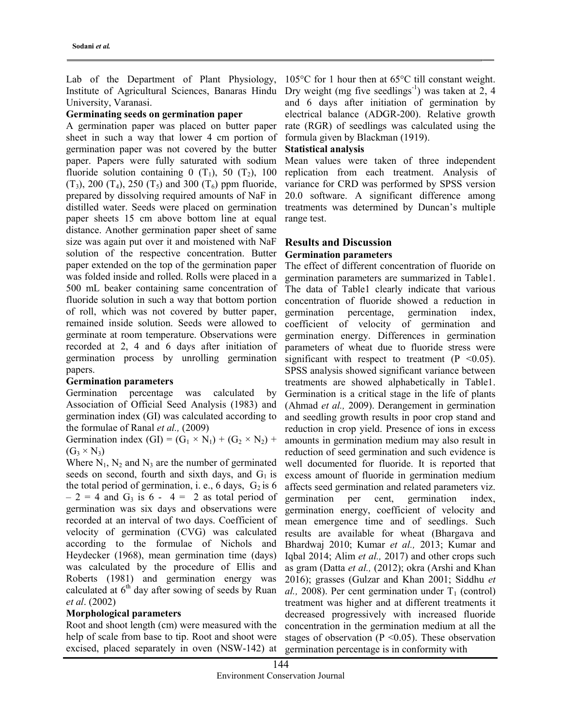Lab of the Department of Plant Physiology, Institute of Agricultural Sciences, Banaras Hindu University, Varanasi.

### Germinating seeds on germination paper

A germination paper was placed on butter paper sheet in such a way that lower 4 cm portion of germination paper was not covered by the butter paper. Papers were fully saturated with sodium fluoride solution containing  $0(T_1)$ , 50  $(T_2)$ , 100  $(T_3)$ , 200  $(T_4)$ , 250  $(T_5)$  and 300  $(T_6)$  ppm fluoride, prepared by dissolving required amounts of NaF in distilled water. Seeds were placed on germination paper sheets 15 cm above bottom line at equal distance. Another germination paper sheet of same size was again put over it and moistened with NaF solution of the respective concentration. Butter paper extended on the top of the germination paper was folded inside and rolled. Rolls were placed in a 500 mL beaker containing same concentration of fluoride solution in such a way that bottom portion of roll, which was not covered by butter paper, remained inside solution. Seeds were allowed to germinate at room temperature. Observations were recorded at 2, 4 and 6 days after initiation of germination process by unrolling germination papers.

#### Germination parameters

Germination percentage was calculated by Association of Official Seed Analysis (1983) and germination index (GI) was calculated according to the formulae of Ranal et al., (2009)

Germination index  $(GI) = (G_1 \times N_1) + (G_2 \times N_2) +$  $(G_3 \times N_3)$ 

Where  $N_1$ ,  $N_2$  and  $N_3$  are the number of germinated seeds on second, fourth and sixth days, and  $G_1$  is the total period of germination, i. e., 6 days,  $G_2$  is 6  $-2 = 4$  and G<sub>3</sub> is 6 - 4 = 2 as total period of germination was six days and observations were recorded at an interval of two days. Coefficient of velocity of germination (CVG) was calculated according to the formulae of Nichols and Heydecker (1968), mean germination time (days) was calculated by the procedure of Ellis and Roberts (1981) and germination energy was calculated at  $6<sup>th</sup>$  day after sowing of seeds by Ruan et al. (2002)

#### Morphological parameters

Root and shoot length (cm) were measured with the help of scale from base to tip. Root and shoot were excised, placed separately in oven (NSW-142) at

105°C for 1 hour then at 65°C till constant weight. Dry weight (mg five seedlings<sup>-1</sup>) was taken at 2, 4 and 6 days after initiation of germination by electrical balance (ADGR-200). Relative growth rate (RGR) of seedlings was calculated using the formula given by Blackman (1919).

## Statistical analysis

Mean values were taken of three independent replication from each treatment. Analysis of variance for CRD was performed by SPSS version 20.0 software. A significant difference among treatments was determined by Duncan's multiple range test.

## Results and Discussion Germination parameters

The effect of different concentration of fluoride on germination parameters are summarized in Table1. The data of Table1 clearly indicate that various concentration of fluoride showed a reduction in germination percentage, germination index, coefficient of velocity of germination and germination energy. Differences in germination parameters of wheat due to fluoride stress were significant with respect to treatment  $(P \le 0.05)$ . SPSS analysis showed significant variance between treatments are showed alphabetically in Table1. Germination is a critical stage in the life of plants (Ahmad et al., 2009). Derangement in germination and seedling growth results in poor crop stand and reduction in crop yield. Presence of ions in excess amounts in germination medium may also result in reduction of seed germination and such evidence is well documented for fluoride. It is reported that excess amount of fluoride in germination medium affects seed germination and related parameters viz. germination per cent, germination index, germination energy, coefficient of velocity and mean emergence time and of seedlings. Such results are available for wheat (Bhargava and Bhardwaj 2010; Kumar et al., 2013; Kumar and Iqbal 2014; Alim et al., 2017) and other crops such as gram (Datta et al., (2012); okra (Arshi and Khan 2016); grasses (Gulzar and Khan 2001; Siddhu et al., 2008). Per cent germination under  $T_1$  (control) treatment was higher and at different treatments it decreased progressively with increased fluoride concentration in the germination medium at all the stages of observation ( $P \le 0.05$ ). These observation germination percentage is in conformity with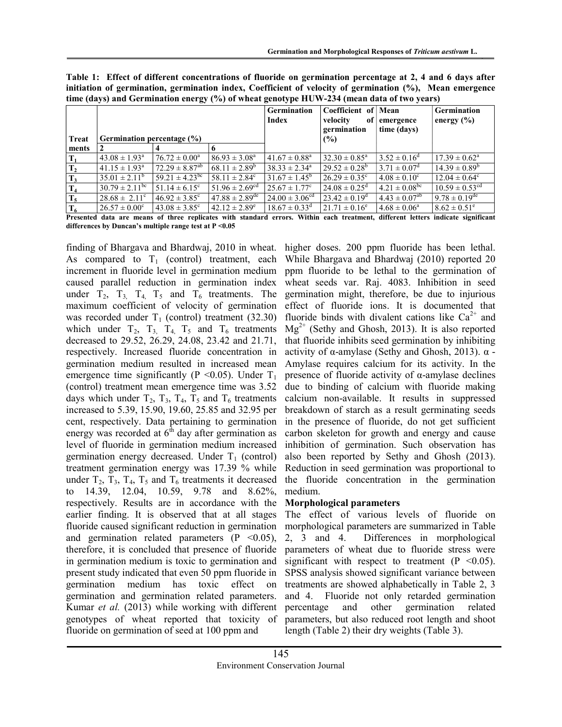$18.67 \pm 0.33$ <sup>d</sup>  $21.71 \pm 0.16$ <sup>e</sup>  $4.68 \pm 0.06$ <sup>a</sup>  $8.62 \pm 0.51$ 

| time (days) and Germination energy (%) of wheat genotype HUW-234 (mean data of two years) |                              |                                |                              |                                    |                                                       |                               |                                      |  |
|-------------------------------------------------------------------------------------------|------------------------------|--------------------------------|------------------------------|------------------------------------|-------------------------------------------------------|-------------------------------|--------------------------------------|--|
| <b>Treat</b>                                                                              | Germination percentage (%)   |                                |                              | <b>Germination</b><br><b>Index</b> | Coefficient of Mean<br>velocity<br>germination<br>(%) | of emergence<br>time (days)   | <b>Germination</b><br>energy $(\% )$ |  |
| ments                                                                                     |                              |                                |                              |                                    |                                                       |                               |                                      |  |
|                                                                                           | $43.08 \pm 1.93^{\circ}$     | $76.72 \pm 0.00^{\circ}$       | $86.93 \pm 3.08^{\circ}$     | $41.67 \pm 0.88^{\text{a}}$        | $32.30 \pm 0.85^{\text{a}}$                           | $3.52 \pm 0.16^d$             | $17.39 \pm 0.62^{\circ}$             |  |
| Т,                                                                                        | $41.15 \pm 1.93^{\circ}$     | $72.29 \pm 8.87^{ab}$          | $68.11 \pm 2.89^b$           | $38.33 \pm 2.34^{\circ}$           | $29.52 \pm 0.28^{\rm b}$                              | $3.71 \pm 0.07^{\rm d}$       | $14.39 \pm 0.89^b$                   |  |
| $T_3$                                                                                     | $35.01 \pm 2.11^b$           | $59.21 \pm 4.23$ <sup>bc</sup> | $58.11 \pm 2.84^{\circ}$     | $31.67 \pm 1.45^{\circ}$           | $26.29 \pm 0.35^{\circ}$                              | $4.08 \pm 0.10^{\circ}$       | $12.04 \pm 0.64^{\circ}$             |  |
| T <sub>4</sub>                                                                            | $30.79 \pm 2.11^{\text{bc}}$ | $51.14 \pm 6.15^{\circ}$       | $51.96 \pm 2.69^{cd}$        | $25.67 \pm 1.77$ °                 | $24.08 \pm 0.25^{\circ}$                              | $4.21 \pm 0.08^{bc}$          | $10.59 \pm 0.53$ <sup>cd</sup>       |  |
| $T_5$                                                                                     | $28.68 \pm 2.11^{\circ}$     | $46.92 \pm 3.85$ °             | $47.88 \pm 2.89^{\text{de}}$ | $24.00 \pm 3.06^{\text{cd}}$       | $23.42 \pm 0.19^{\circ}$                              | $4.43 \pm 0.07$ <sup>ab</sup> | $9.78 \pm 0.19$ <sup>de</sup>        |  |
| $T_{6}$                                                                                   | $26.57 \pm 0.00^{\circ}$     | $43.08 \pm 3.85$ °             | $42.12 \pm 2.89^e$           | $18.67 \pm 0.33$ <sup>d</sup>      | $21.71 \pm 0.16^e$                                    | $4.68 \pm 0.06^a$             | $8.62 \pm 0.51^e$                    |  |

Table 1: Effect of different concentrations of fluoride on germination percentage at 2, 4 and 6 days after initiation of germination, germination index, Coefficient of velocity of germination (%), Mean emergence

Presented data are means of three replicates with standard errors. Within each treatment, different letters indicate significant differences by Duncan's multiple range test at P <0.05

finding of Bhargava and Bhardwaj, 2010 in wheat. As compared to  $T_1$  (control) treatment, each increment in fluoride level in germination medium caused parallel reduction in germination index under  $T_2$ ,  $T_3$ ,  $T_4$ ,  $T_5$  and  $T_6$  treatments. The maximum coefficient of velocity of germination was recorded under  $T_1$  (control) treatment (32.30) which under  $T_2$ ,  $T_3$ ,  $T_4$ ,  $T_5$  and  $T_6$  treatments decreased to 29.52, 26.29, 24.08, 23.42 and 21.71, respectively. Increased fluoride concentration in germination medium resulted in increased mean emergence time significantly (P < 0.05). Under  $T_1$ (control) treatment mean emergence time was 3.52 days which under  $T_2$ ,  $T_3$ ,  $T_4$ ,  $T_5$  and  $T_6$  treatments increased to 5.39, 15.90, 19.60, 25.85 and 32.95 per cent, respectively. Data pertaining to germination energy was recorded at  $6<sup>th</sup>$  day after germination as level of fluoride in germination medium increased germination energy decreased. Under  $T_1$  (control) treatment germination energy was 17.39 % while under  $T_2$ ,  $T_3$ ,  $T_4$ ,  $T_5$  and  $T_6$  treatments it decreased to 14.39, 12.04, 10.59, 9.78 and 8.62%, respectively. Results are in accordance with the earlier finding. It is observed that at all stages fluoride caused significant reduction in germination and germination related parameters  $(P \le 0.05)$ , therefore, it is concluded that presence of fluoride in germination medium is toxic to germination and present study indicated that even 50 ppm fluoride in germination medium has toxic effect on germination and germination related parameters. Kumar et al. (2013) while working with different genotypes of wheat reported that toxicity of fluoride on germination of seed at 100 ppm and

 $T_6$  26.57 ± 0.00<sup>c</sup>

higher doses. 200 ppm fluoride has been lethal. While Bhargava and Bhardwaj (2010) reported 20 ppm fluoride to be lethal to the germination of wheat seeds var. Raj. 4083. Inhibition in seed germination might, therefore, be due to injurious effect of fluoride ions. It is documented that fluoride binds with divalent cations like  $Ca^{2+}$  and  $Mg^{2+}$  (Sethy and Ghosh, 2013). It is also reported that fluoride inhibits seed germination by inhibiting activity of α-amylase (Sethy and Ghosh, 2013).  $α$  -Amylase requires calcium for its activity. In the presence of fluoride activity of α-amylase declines due to binding of calcium with fluoride making calcium non-available. It results in suppressed breakdown of starch as a result germinating seeds in the presence of fluoride, do not get sufficient carbon skeleton for growth and energy and cause inhibition of germination. Such observation has also been reported by Sethy and Ghosh (2013). Reduction in seed germination was proportional to the fluoride concentration in the germination medium.

## Morphological parameters

The effect of various levels of fluoride on morphological parameters are summarized in Table 2, 3 and 4. Differences in morphological parameters of wheat due to fluoride stress were significant with respect to treatment  $(P < 0.05)$ . SPSS analysis showed significant variance between treatments are showed alphabetically in Table 2, 3 and 4. Fluoride not only retarded germination percentage and other germination related parameters, but also reduced root length and shoot length (Table 2) their dry weights (Table 3).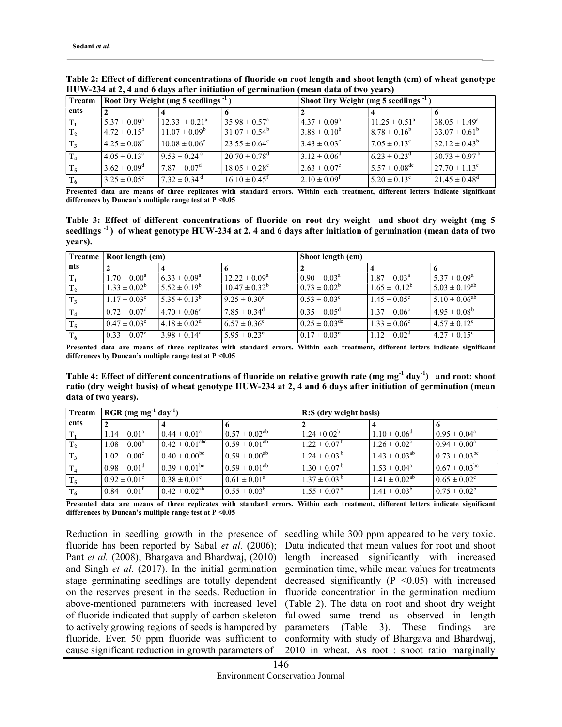| Treatm         | Root Dry Weight (mg 5 seedlings <sup>-1</sup> ) |                              |                               | Shoot Dry Weight (mg 5 seedlings -1 |                             |                                |
|----------------|-------------------------------------------------|------------------------------|-------------------------------|-------------------------------------|-----------------------------|--------------------------------|
| ents           |                                                 |                              |                               |                                     |                             |                                |
|                | $5.37 \pm 0.09^{\rm a}$                         | $12.33 \pm 0.21^{\circ}$     | $35.98 \pm 0.57^{\circ}$      | $4.37 \pm 0.09^{\rm a}$             | $11.25 \pm 0.51^{\circ}$    | $38.05 \pm 1.49^{\circ}$       |
| $\mathbf{T}_2$ | $4.72 \pm 0.15^{\circ}$                         | $11.07 \pm 0.09^{\circ}$     | $31.07 \pm 0.54^{\circ}$      | $3.88 \pm 0.10^{6}$                 | $8.78 \pm 0.16^{\circ}$     | $33.07 \pm 0.61^{\circ}$       |
| $T_3$          | $4.25 \pm 0.08^{\circ}$                         | $10.08 \pm 0.06^{\circ}$     | $23.55 \pm 0.64^{\circ}$      | $3.43 \pm 0.03^{\circ}$             | $7.05 \pm 0.13^{\circ}$     | $32.12 \pm 0.43^b$             |
| T <sub>4</sub> | $4.05 \pm 0.13^{\circ}$                         | $9.53 \pm 0.24$ °            | $20.70 \pm 0.78$ <sup>d</sup> | $3.12 \pm 0.06^{\rm d}$             | $6.23 \pm 0.23^d$           | $130.73 \pm 0.97$ <sup>5</sup> |
| $T_5$          | $3.62 \pm 0.09^{\rm d}$                         | $7.87 \pm 0.07$ <sup>d</sup> | $18.05 \pm 0.28^e$            | $2.63 \pm 0.07^e$                   | $5.57 \pm 0.08^{\text{de}}$ | $27.70 \pm 1.13^{\circ}$       |
| $T_6$          | $3.25 \pm 0.05^e$                               | $7.32 \pm 0.34$ <sup>d</sup> | $16.10 \pm 0.45$ <sup>f</sup> | $2.10 \pm 0.09$ <sup>f</sup>        | $5.20 \pm 0.13^e$           | $21.45 \pm 0.48$ <sup>d</sup>  |

Table 2: Effect of different concentrations of fluoride on root length and shoot length (cm) of wheat genotype HUW-234 at 2, 4 and 6 days after initiation of germination (mean data of two years)

Presented data are means of three replicates with standard errors. Within each treatment, different letters indicate significant differences by Duncan's multiple range test at P <0.05

Table 3: Effect of different concentrations of fluoride on root dry weight and shoot dry weight (mg 5 seedlings<sup>-1</sup>) of wheat genotype HUW-234 at 2, 4 and 6 days after initiation of germination (mean data of two years).

| Treatme        | Root length (cm)        |                         |                              | Shoot length (cm)           |                         |                              |  |
|----------------|-------------------------|-------------------------|------------------------------|-----------------------------|-------------------------|------------------------------|--|
| nts            |                         |                         |                              |                             |                         |                              |  |
| $T_1$          | $1.70 \pm 0.00^a$       | $6.33 \pm 0.09^a$       | $12.22 \pm 0.09^{\circ}$     | $0.90 \pm 0.03^{\text{a}}$  | $1.87 \pm 0.03^{\circ}$ | $5.37 \pm 0.09^{\rm a}$      |  |
| T <sub>2</sub> | $1.33 \pm 0.02^b$       | $5.52 \pm 0.19^b$       | $10.47 \pm 0.32^b$           | $0.73 \pm 0.02^b$           | $1.65 \pm 0.12^b$       | $5.03 \pm 0.19^{ab}$         |  |
| $T_3$          | $1.17 \pm 0.03^{\circ}$ | $5.35 \pm 0.13^b$       | $9.25 \pm 0.30^{\circ}$      | $0.53 \pm 0.03^{\circ}$     | $1.45 \pm 0.05^{\circ}$ | $5.10 \pm 0.06^{ab}$         |  |
| $T_4$          | $0.72 \pm 0.07^{\rm d}$ | $4.70 \pm 0.06^{\circ}$ | $7.85 \pm 0.34$ <sup>d</sup> | $0.35 \pm 0.05^{\text{d}}$  | $1.37 \pm 0.06^{\circ}$ | $4.95 \pm 0.08^b$            |  |
| $T_5$          | $0.47 \pm 0.03^e$       | $4.18 \pm 0.02^d$       | $6.57 \pm 0.36^e$            | $0.25 \pm 0.03^{\text{de}}$ | $1.33 \pm 0.06^{\circ}$ | $4.57 \pm 0.12$ <sup>c</sup> |  |
| $T_6$          | $0.33 \pm 0.07^e$       | $3.98 \pm 0.14^d$       | $5.95 \pm 0.23^e$            | $0.17 \pm 0.03^e$           | $1.12 \pm 0.02^d$       | $4.27 \pm 0.15^{\circ}$      |  |

Presented data are means of three replicates with standard errors. Within each treatment, different letters indicate significant differences by Duncan's multiple range test at  $P < 0.05$ 

Table 4: Effect of different concentrations of fluoride on relative growth rate (mg mg<sup>-1</sup> day<sup>-1</sup>) and root: shoot ratio (dry weight basis) of wheat genotype HUW-234 at 2, 4 and 6 days after initiation of germination (mean data of two years).

| Treatm         | $RGR$ (mg mg <sup>-1</sup> day <sup>-1</sup> ) |                              |                            | R:S (dry weight basis)       |                         |                          |
|----------------|------------------------------------------------|------------------------------|----------------------------|------------------------------|-------------------------|--------------------------|
| ents           |                                                |                              |                            |                              |                         |                          |
|                | $1.14 \pm 0.01^{\circ}$                        | $0.44 \pm 0.01^{\circ}$      | $0.57 \pm 0.02^{ab}$       | $1.24 \pm 0.02^{\circ}$      | $1.10 \pm 0.06^{\circ}$ | $0.95 \pm 0.04^{\circ}$  |
| T <sub>2</sub> | $1.08 \pm 0.00^{\circ}$                        | $0.42 \pm 0.01^{\text{abc}}$ | $0.59 \pm 0.01^{ab}$       | $1.22 \pm 0.07^{\mathrm{b}}$ | $1.26 \pm 0.02^{\circ}$ | $0.94 \pm 0.00^{\circ}$  |
| $T_3$          | $1.02 \pm 0.00^{\circ}$                        | $0.40 \pm 0.00^{bc}$         | $0.59 \pm 0.00^{ab}$       | $1.24 \pm 0.03^{\text{ b}}$  | $1.43 \pm 0.03^{ab}$    | $0.73 \pm 0.03^{\rm bc}$ |
| $T_4$          | $0.98 \pm 0.01^{\rm d}$                        | $0.39 \pm 0.01^{\rm bc}$     | $0.59 \pm 0.01^{ab}$       | $1.30 \pm 0.07^{\circ}$      | $1.53 \pm 0.04^{\circ}$ | $0.67 \pm 0.03^{\rm bc}$ |
| $T_5$          | $0.92 \pm 0.01^{\circ}$                        | $0.38 \pm 0.01^{\circ}$      | $0.61 \pm 0.01^{\text{a}}$ | $1.37 \pm 0.03^{b}$          | $1.41 \pm 0.02^{ab}$    | $0.65 \pm 0.02^{\circ}$  |
| $T_6$          | $0.84 \pm 0.01^{\text{t}}$                     | $0.42 \pm 0.02^{ab}$         | $0.55 \pm 0.03^b$          | $1.55 \pm 0.07^{\text{ a}}$  | $1.41 \pm 0.03^b$       | $0.75 \pm 0.02^b$        |

Presented data are means of three replicates with standard errors. Within each treatment, different letters indicate significant differences by Duncan's multiple range test at P <0.05

fluoride has been reported by Sabal et al. (2006); Pant et al. (2008); Bhargava and Bhardwaj, (2010) and Singh et al. (2017). In the initial germination stage germinating seedlings are totally dependent on the reserves present in the seeds. Reduction in above-mentioned parameters with increased level of fluoride indicated that supply of carbon skeleton to actively growing regions of seeds is hampered by fluoride. Even 50 ppm fluoride was sufficient to cause significant reduction in growth parameters of

Reduction in seedling growth in the presence of seedling while 300 ppm appeared to be very toxic. Data indicated that mean values for root and shoot length increased significantly with increased germination time, while mean values for treatments decreased significantly  $(P \le 0.05)$  with increased fluoride concentration in the germination medium (Table 2). The data on root and shoot dry weight fallowed same trend as observed in length parameters (Table 3). These findings are conformity with study of Bhargava and Bhardwaj, 2010 in wheat. As root : shoot ratio marginally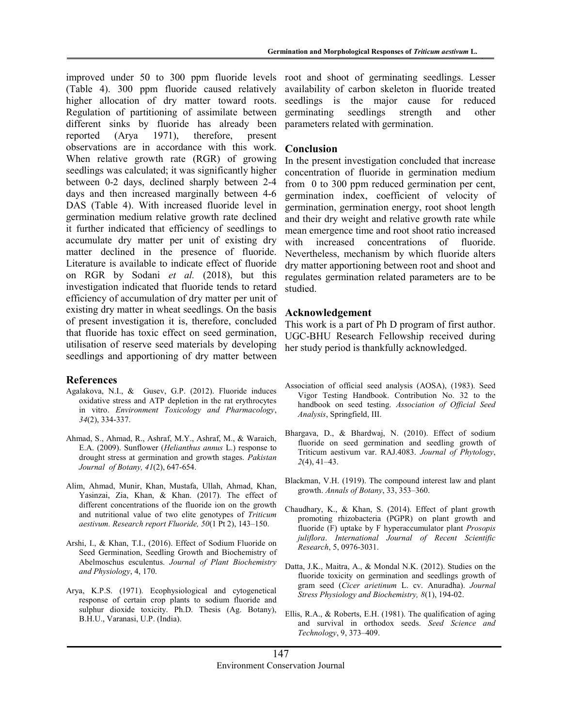(Table 4). 300 ppm fluoride caused relatively higher allocation of dry matter toward roots. Regulation of partitioning of assimilate between different sinks by fluoride has already been reported (Arya 1971), therefore, present observations are in accordance with this work. When relative growth rate (RGR) of growing seedlings was calculated; it was significantly higher between 0-2 days, declined sharply between 2-4 days and then increased marginally between 4-6 DAS (Table 4). With increased fluoride level in germination medium relative growth rate declined it further indicated that efficiency of seedlings to accumulate dry matter per unit of existing dry matter declined in the presence of fluoride. Literature is available to indicate effect of fluoride on RGR by Sodani et al. (2018), but this investigation indicated that fluoride tends to retard efficiency of accumulation of dry matter per unit of existing dry matter in wheat seedlings. On the basis of present investigation it is, therefore, concluded that fluoride has toxic effect on seed germination, utilisation of reserve seed materials by developing seedlings and apportioning of dry matter between

#### References

- Agalakova, N.I., & Gusev, G.P. (2012). Fluoride induces oxidative stress and ATP depletion in the rat erythrocytes in vitro. Environment Toxicology and Pharmacology, 34(2), 334-337.
- Ahmad, S., Ahmad, R., Ashraf, M.Y., Ashraf, M., & Waraich, E.A. (2009). Sunflower (Helianthus annus L.) response to drought stress at germination and growth stages. Pakistan Journal of Botany, 41(2), 647-654.
- Alim, Ahmad, Munir, Khan, Mustafa, Ullah, Ahmad, Khan, Yasinzai, Zia, Khan, & Khan. (2017). The effect of different concentrations of the fluoride ion on the growth and nutritional value of two elite genotypes of Triticum aestivum. Research report Fluoride, 50(1 Pt 2), 143–150.
- Arshi, I., & Khan, T.I., (2016). Effect of Sodium Fluoride on Seed Germination, Seedling Growth and Biochemistry of Abelmoschus esculentus. Journal of Plant Biochemistry and Physiology, 4, 170.
- Arya, K.P.S. (1971). Ecophysiological and cytogenetical response of certain crop plants to sodium fluoride and sulphur dioxide toxicity. Ph.D. Thesis (Ag. Botany), B.H.U., Varanasi, U.P. (India).

improved under 50 to 300 ppm fluoride levels root and shoot of germinating seedlings. Lesser availability of carbon skeleton in fluoride treated seedlings is the major cause for reduced germinating seedlings strength and other parameters related with germination.

#### Conclusion

In the present investigation concluded that increase concentration of fluoride in germination medium from 0 to 300 ppm reduced germination per cent, germination index, coefficient of velocity of germination, germination energy, root shoot length and their dry weight and relative growth rate while mean emergence time and root shoot ratio increased with increased concentrations of fluoride. Nevertheless, mechanism by which fluoride alters dry matter apportioning between root and shoot and regulates germination related parameters are to be studied.

#### Acknowledgement

This work is a part of Ph D program of first author. UGC-BHU Research Fellowship received during her study period is thankfully acknowledged.

- Association of official seed analysis (AOSA), (1983). Seed Vigor Testing Handbook. Contribution No. 32 to the handbook on seed testing. Association of Official Seed Analysis, Springfield, III.
- Bhargava, D., & Bhardwaj, N. (2010). Effect of sodium fluoride on seed germination and seedling growth of Triticum aestivum var. RAJ.4083. Journal of Phytology,  $2(4)$ , 41–43.
- Blackman, V.H. (1919). The compound interest law and plant growth. Annals of Botany, 33, 353–360.
- Chaudhary, K., & Khan, S. (2014). Effect of plant growth promoting rhizobacteria (PGPR) on plant growth and fluoride (F) uptake by F hyperaccumulator plant Prosopis juliflora. International Journal of Recent Scientific Research, 5, 0976-3031.
- Datta, J.K., Maitra, A., & Mondal N.K. (2012). Studies on the fluoride toxicity on germination and seedlings growth of gram seed (Cicer arietinum L. cv. Anuradha). Journal Stress Physiology and Biochemistry, 8(1), 194-02.
- Ellis, R.A., & Roberts, E.H. (1981). The qualification of aging and survival in orthodox seeds. Seed Science and Technology, 9, 373–409.